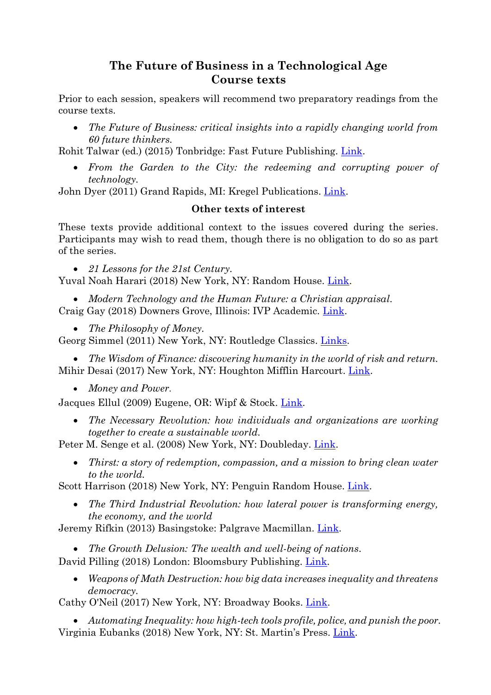# **The Future of Business in a Technological Age Course texts**

Prior to each session, speakers will recommend two preparatory readings from the course texts.

 *The Future of Business: critical insights into a rapidly changing world from 60 future thinkers.*

Rohit Talwar (ed.) (2015) Tonbridge: Fast Future Publishing. [Link.](https://www.amazon.com/gp/product/0993295800)

 *From the Garden to the City: the redeeming and corrupting power of technology.*

John Dyer (2011) Grand Rapids, MI: Kregel Publications. [Link.](https://www.amazon.com/gp/product/0825426685)

#### **Other texts of interest**

These texts provide additional context to the issues covered during the series. Participants may wish to read them, though there is no obligation to do so as part of the series.

*21 Lessons for the 21st Century.*

Yuval Noah Harari (2018) New York, NY: Random House. [Link.](https://www.amazon.com/gp/product/0525512179/)

- *Modern Technology and the Human Future: a Christian appraisal.* Craig Gay (2018) Downers Grove, Illinois: IVP Academic. [Link.](https://www.amazon.com/gp/product/0830852204)
	- *The Philosophy of Money.*

Georg Simmel (2011) New York, NY: Routledge Classics. [Links.](https://www.amazon.com/gp/product/0415610117)

 *The Wisdom of Finance: discovering humanity in the world of risk and return.* Mihir Desai (2017) New York, NY: Houghton Mifflin Harcourt. [Link.](https://www.amazon.com/gp/product/1788160053/)

*Money and Power*.

Jacques Ellul (2009) Eugene, OR: Wipf & Stock. [Link.](https://www.amazon.com/gp/product/1606083007)

 *The Necessary Revolution: how individuals and organizations are working together to create a sustainable world.*

Peter M. Senge et al. (2008) New York, NY: Doubleday. [Link.](https://www.amazon.com/gp/product/0385519044/)

 *Thirst: a story of redemption, compassion, and a mission to bring clean water to the world.*

Scott Harrison (2018) New York, NY: Penguin Random House. [Link.](https://www.amazon.com/gp/product/1984822446/)

 *The Third Industrial Revolution: how lateral power is transforming energy, the economy, and the world*

Jeremy Rifkin (2013) Basingstoke: Palgrave Macmillan. [Link.](https://www.amazon.com/gp/product/0230341977/)

*The Growth Delusion: The wealth and well-being of nations*.

David Pilling (2018) London: Bloomsbury Publishing. [Link.](https://www.amazon.com/gp/product/1408893746)

 *Weapons of Math Destruction: how big data increases inequality and threatens democracy.*

Cathy O'Neil (2017) New York, NY: Broadway Books. [Link.](https://www.amazon.com/gp/product/0553418831/)

 *Automating Inequality: how high-tech tools profile, police, and punish the poor.* Virginia Eubanks (2018) New York, NY: St. Martin's Press. [Link.](https://www.amazon.com/gp/product/1250074312)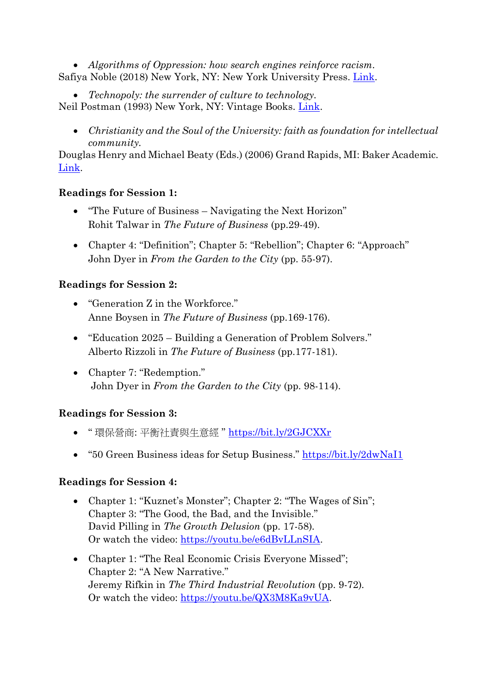*Algorithms of Oppression: how search engines reinforce racism.* Safiya Noble (2018) New York, NY: New York University Press. [Link.](https://www.amazon.com/gp/product/1479837245)

*Technopoly: the surrender of culture to technology.*

Neil Postman (1993) New York, NY: Vintage Books. [Link.](https://www.amazon.com/gp/product/0679745408/)

 *Christianity and the Soul of the University: faith as foundation for intellectual community.*

Douglas Henry and Michael Beaty (Eds.) (2006) Grand Rapids, MI: Baker Academic. [Link.](https://www.amazon.com/gp/product/0801027942/)

## **Readings for Session 1:**

- "The Future of Business Navigating the Next Horizon" Rohit Talwar in *The Future of Business* (pp.29-49).
- Chapter 4: "Definition"; Chapter 5: "Rebellion"; Chapter 6: "Approach" John Dyer in *From the Garden to the City* (pp. 55-97).

## **Readings for Session 2:**

- "Generation Z in the Workforce." Anne Boysen in *The Future of Business* (pp.169-176).
- "Education 2025 Building a Generation of Problem Solvers." Alberto Rizzoli in *The Future of Business* (pp.177-181).
- Chapter 7: "Redemption." John Dyer in *From the Garden to the City* (pp. 98-114).

# **Readings for Session 3:**

- " 環保營商: 平衡社責與生意經 " <https://bit.ly/2GJCXXr>
- "50 Green Business ideas for Setup Business." <https://bit.ly/2dwNaI1>

## **Readings for Session 4:**

- Chapter 1: "Kuznet's Monster"; Chapter 2: "The Wages of Sin"; Chapter 3: "The Good, the Bad, and the Invisible." David Pilling in *The Growth Delusion* (pp. 17-58)*.* Or watch the video: [https://youtu.be/e6dBvLLnSIA.](https://youtu.be/e6dBvLLnSIA)
- Chapter 1: "The Real Economic Crisis Everyone Missed"; Chapter 2: "A New Narrative." Jeremy Rifkin in *The Third Industrial Revolution* (pp. 9-72)*.* Or watch the video: [https://youtu.be/QX3M8Ka9vUA.](https://youtu.be/QX3M8Ka9vUA)